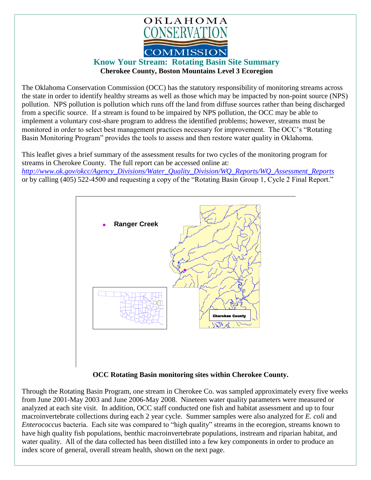

## **Know Your Stream: Rotating Basin Site Summary Cherokee County, Boston Mountains Level 3 Ecoregion**

The Oklahoma Conservation Commission (OCC) has the statutory responsibility of monitoring streams across the state in order to identify healthy streams as well as those which may be impacted by non-point source (NPS) pollution. NPS pollution is pollution which runs off the land from diffuse sources rather than being discharged from a specific source. If a stream is found to be impaired by NPS pollution, the OCC may be able to implement a voluntary cost-share program to address the identified problems; however, streams must be monitored in order to select best management practices necessary for improvement. The OCC's "Rotating Basin Monitoring Program" provides the tools to assess and then restore water quality in Oklahoma.

This leaflet gives a brief summary of the assessment results for two cycles of the monitoring program for streams in Cherokee County. The full report can be accessed online at: *[http://www.ok.gov/okcc/Agency\\_Divisions/Water\\_Quality\\_Division/WQ\\_Reports/WQ\\_Assessment\\_Reports](http://www.ok.gov/okcc/Agency_Divisions/Water_Quality_Division/WQ_Reports/WQ_Assessment_Reports)* or by calling (405) 522-4500 and requesting a copy of the "Rotating Basin Group 1, Cycle 2 Final Report."



## **OCC Rotating Basin monitoring sites within Cherokee County.**

Through the Rotating Basin Program, one stream in Cherokee Co. was sampled approximately every five weeks from June 2001-May 2003 and June 2006-May 2008. Nineteen water quality parameters were measured or analyzed at each site visit. In addition, OCC staff conducted one fish and habitat assessment and up to four macroinvertebrate collections during each 2 year cycle. Summer samples were also analyzed for *E. coli* and *Enterococcus* bacteria. Each site was compared to "high quality" streams in the ecoregion, streams known to have high quality fish populations, benthic macroinvertebrate populations, instream and riparian habitat, and water quality. All of the data collected has been distilled into a few key components in order to produce an index score of general, overall stream health, shown on the next page.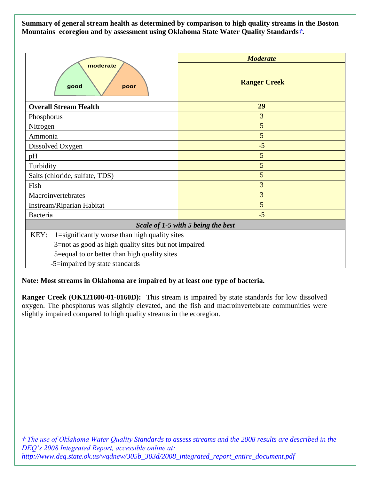**Summary of general stream health as determined by comparison to high quality streams in the Boston Mountains ecoregion and by assessment using Oklahoma State Water Quality Standards***†***.**

|                                                       | <b>Moderate</b>     |
|-------------------------------------------------------|---------------------|
| moderate<br>good<br>poor                              | <b>Ranger Creek</b> |
| <b>Overall Stream Health</b>                          | 29                  |
| Phosphorus                                            | 3                   |
| Nitrogen                                              | 5                   |
| Ammonia                                               | 5                   |
| Dissolved Oxygen                                      | $-5$                |
| pH                                                    | 5                   |
| Turbidity                                             | 5                   |
| Salts (chloride, sulfate, TDS)                        | 5                   |
| Fish                                                  | 3                   |
| Macroinvertebrates                                    | $\overline{3}$      |
| Instream/Riparian Habitat                             | 5                   |
| Bacteria                                              | $-5$                |
| Scale of 1-5 with 5 being the best                    |                     |
| KEY:<br>1=significantly worse than high quality sites |                     |
| 3=not as good as high quality sites but not impaired  |                     |
| 5=equal to or better than high quality sites          |                     |
| -5=impaired by state standards                        |                     |

**Note: Most streams in Oklahoma are impaired by at least one type of bacteria.**

**Ranger Creek (OK121600-01-0160D):** This stream is impaired by state standards for low dissolved oxygen. The phosphorus was slightly elevated, and the fish and macroinvertebrate communities were slightly impaired compared to high quality streams in the ecoregion.

*† The use of Oklahoma Water Quality Standards to assess streams and the 2008 results are described in the DEQ's 2008 Integrated Report, accessible online at: http://www.deq.state.ok.us/wqdnew/305b\_303d/2008\_integrated\_report\_entire\_document.pdf*